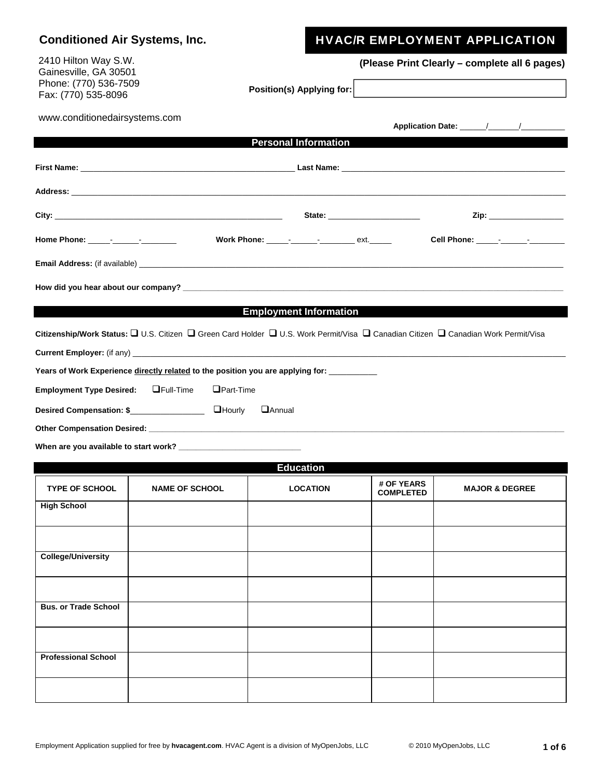| <b>Conditioned Air Systems, Inc.</b>                                                          |                       |                                                                                                                                    |                  | <b>HVAC/R EMPLOYMENT APPLICATION</b>                                                                                                                                              |
|-----------------------------------------------------------------------------------------------|-----------------------|------------------------------------------------------------------------------------------------------------------------------------|------------------|-----------------------------------------------------------------------------------------------------------------------------------------------------------------------------------|
| 2410 Hilton Way S.W.<br>Gainesville, GA 30501<br>Phone: (770) 536-7509<br>Fax: (770) 535-8096 |                       | Position(s) Applying for:                                                                                                          |                  | (Please Print Clearly – complete all 6 pages)                                                                                                                                     |
| www.conditionedairsystems.com                                                                 |                       |                                                                                                                                    |                  |                                                                                                                                                                                   |
|                                                                                               |                       | <b>Personal Information</b>                                                                                                        |                  |                                                                                                                                                                                   |
|                                                                                               |                       |                                                                                                                                    |                  |                                                                                                                                                                                   |
|                                                                                               |                       |                                                                                                                                    |                  |                                                                                                                                                                                   |
|                                                                                               |                       |                                                                                                                                    |                  |                                                                                                                                                                                   |
|                                                                                               |                       |                                                                                                                                    |                  | Home Phone: _____- <sub>_</sub> ________________    Work Phone: _____- <sub>_</sub> _______ <sub>_</sub> ext._____    Cell Phone: _____ <sub>-</sub> ______- <sub>_</sub> _______ |
|                                                                                               |                       |                                                                                                                                    |                  |                                                                                                                                                                                   |
|                                                                                               |                       |                                                                                                                                    |                  |                                                                                                                                                                                   |
|                                                                                               |                       | <b>Employment Information</b>                                                                                                      |                  |                                                                                                                                                                                   |
|                                                                                               |                       | Citizenship/Work Status: □ U.S. Citizen □ Green Card Holder □ U.S. Work Permit/Visa □ Canadian Citizen □ Canadian Work Permit/Visa |                  |                                                                                                                                                                                   |
|                                                                                               |                       |                                                                                                                                    |                  |                                                                                                                                                                                   |
|                                                                                               |                       | Years of Work Experience directly related to the position you are applying for: ________                                           |                  |                                                                                                                                                                                   |
| Employment Type Desired: Full-Time                                                            | $\Box$ Part-Time      |                                                                                                                                    |                  |                                                                                                                                                                                   |
|                                                                                               |                       | <b>H</b> Annual                                                                                                                    |                  |                                                                                                                                                                                   |
|                                                                                               |                       |                                                                                                                                    |                  |                                                                                                                                                                                   |
|                                                                                               |                       |                                                                                                                                    |                  |                                                                                                                                                                                   |
|                                                                                               |                       | <b>Education</b>                                                                                                                   |                  |                                                                                                                                                                                   |
| <b>TYPE OF SCHOOL</b>                                                                         | <b>NAME OF SCHOOL</b> | <b>LOCATION</b>                                                                                                                    | # OF YEARS       | <b>MAJOR &amp; DEGREE</b>                                                                                                                                                         |
| <b>High School</b>                                                                            |                       |                                                                                                                                    | <b>COMPLETED</b> |                                                                                                                                                                                   |
|                                                                                               |                       |                                                                                                                                    |                  |                                                                                                                                                                                   |
|                                                                                               |                       |                                                                                                                                    |                  |                                                                                                                                                                                   |
| <b>College/University</b>                                                                     |                       |                                                                                                                                    |                  |                                                                                                                                                                                   |
|                                                                                               |                       |                                                                                                                                    |                  |                                                                                                                                                                                   |
| <b>Bus. or Trade School</b>                                                                   |                       |                                                                                                                                    |                  |                                                                                                                                                                                   |

**Professional School**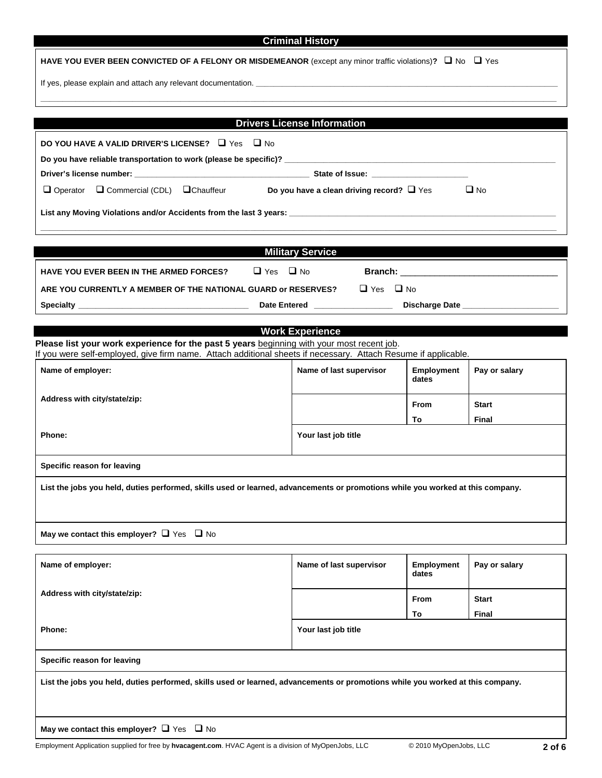|                                                                                                                                                                                                              | <b>Criminal History</b>            |                            |               |  |  |
|--------------------------------------------------------------------------------------------------------------------------------------------------------------------------------------------------------------|------------------------------------|----------------------------|---------------|--|--|
| HAVE YOU EVER BEEN CONVICTED OF A FELONY OR MISDEMEANOR (except any minor traffic violations)? $\Box$ No $\Box$ Yes                                                                                          |                                    |                            |               |  |  |
|                                                                                                                                                                                                              |                                    |                            |               |  |  |
|                                                                                                                                                                                                              |                                    |                            |               |  |  |
|                                                                                                                                                                                                              | <b>Drivers License Information</b> |                            |               |  |  |
| DO YOU HAVE A VALID DRIVER'S LICENSE? $\Box$ Yes $\Box$ No                                                                                                                                                   |                                    |                            |               |  |  |
| Do you have reliable transportation to work (please be specific)? __________________________________                                                                                                         |                                    |                            |               |  |  |
| Driver's license number: <u>example and the set of set of set of Issue:</u> State of Issue:                                                                                                                  |                                    |                            |               |  |  |
| $\Box$ Operator $\Box$ Commercial (CDL) $\Box$ Chauffeur <b>Do you have a clean driving record?</b> $\Box$ Yes                                                                                               |                                    |                            | $\Box$ No     |  |  |
|                                                                                                                                                                                                              |                                    |                            |               |  |  |
|                                                                                                                                                                                                              |                                    |                            |               |  |  |
|                                                                                                                                                                                                              | <b>Military Service</b>            |                            |               |  |  |
| <b>HAVE YOU EVER BEEN IN THE ARMED FORCES?</b>                                                                                                                                                               | $\Box$ Yes $\Box$ No               |                            |               |  |  |
| ARE YOU CURRENTLY A MEMBER OF THE NATIONAL GUARD or RESERVES? □ Yes □ No                                                                                                                                     |                                    |                            |               |  |  |
|                                                                                                                                                                                                              |                                    |                            |               |  |  |
|                                                                                                                                                                                                              | <b>Work Experience</b>             |                            |               |  |  |
| Please list your work experience for the past 5 years beginning with your most recent job.<br>If you were self-employed, give firm name. Attach additional sheets if necessary. Attach Resume if applicable. |                                    |                            |               |  |  |
| Name of employer:                                                                                                                                                                                            | Name of last supervisor            | Employment<br>dates        | Pay or salary |  |  |
| Address with city/state/zip:                                                                                                                                                                                 |                                    | <b>From</b>                | <b>Start</b>  |  |  |
|                                                                                                                                                                                                              |                                    | To                         | Final         |  |  |
| Phone:<br>Your last job title                                                                                                                                                                                |                                    |                            |               |  |  |
| Specific reason for leaving                                                                                                                                                                                  |                                    |                            |               |  |  |
| List the jobs you held, duties performed, skills used or learned, advancements or promotions while you worked at this company.                                                                               |                                    |                            |               |  |  |
|                                                                                                                                                                                                              |                                    |                            |               |  |  |
|                                                                                                                                                                                                              |                                    |                            |               |  |  |
| May we contact this employer? $\Box$ Yes $\Box$ No                                                                                                                                                           |                                    |                            |               |  |  |
| Name of employer:                                                                                                                                                                                            | Name of last supervisor            | <b>Employment</b><br>dates | Pay or salary |  |  |
| Address with city/state/zip:                                                                                                                                                                                 |                                    | From                       | <b>Start</b>  |  |  |
|                                                                                                                                                                                                              |                                    | То                         | Final         |  |  |
| Phone:<br>Your last job title                                                                                                                                                                                |                                    |                            |               |  |  |
| Specific reason for leaving                                                                                                                                                                                  |                                    |                            |               |  |  |
| List the jobs you held, duties performed, skills used or learned, advancements or promotions while you worked at this company.                                                                               |                                    |                            |               |  |  |
| May we contact this employer? $\Box$ Yes $\Box$ No                                                                                                                                                           |                                    |                            |               |  |  |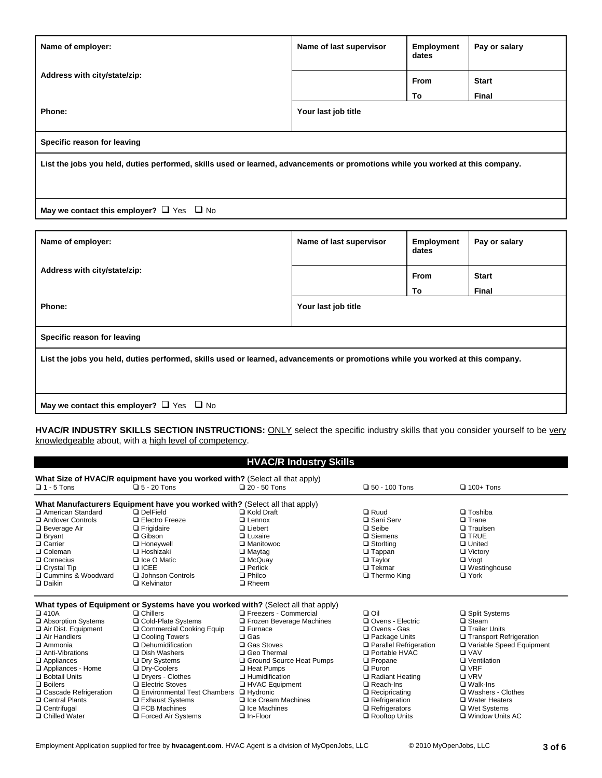| Name of employer:                                                                                                              | Name of last supervisor | <b>Employment</b><br>dates | Pay or salary |  |  |
|--------------------------------------------------------------------------------------------------------------------------------|-------------------------|----------------------------|---------------|--|--|
| Address with city/state/zip:                                                                                                   |                         | From                       | <b>Start</b>  |  |  |
|                                                                                                                                |                         | To                         | Final         |  |  |
| Phone:                                                                                                                         | Your last job title     |                            |               |  |  |
| Specific reason for leaving                                                                                                    |                         |                            |               |  |  |
| List the jobs you held, duties performed, skills used or learned, advancements or promotions while you worked at this company. |                         |                            |               |  |  |
| May we contact this employer? $\Box$ Yes $\Box$ No                                                                             |                         |                            |               |  |  |

| Name of employer:                                                                                                              | Name of last supervisor | <b>Employment</b><br>dates | Pay or salary |  |  |
|--------------------------------------------------------------------------------------------------------------------------------|-------------------------|----------------------------|---------------|--|--|
| Address with city/state/zip:                                                                                                   |                         | <b>From</b>                | <b>Start</b>  |  |  |
|                                                                                                                                |                         | To                         | Final         |  |  |
| Phone:                                                                                                                         | Your last job title     |                            |               |  |  |
| Specific reason for leaving                                                                                                    |                         |                            |               |  |  |
| List the jobs you held, duties performed, skills used or learned, advancements or promotions while you worked at this company. |                         |                            |               |  |  |
| May we contact this employer? $\Box$ Yes $\Box$ No                                                                             |                         |                            |               |  |  |

HVAC/R INDUSTRY SKILLS SECTION INSTRUCTIONS: ONLY select the specific industry skills that you consider yourself to be very knowledgeable about, with a high level of competency.

## **HVAC/R Industry Skills**

| $\Box$ 1 - 5 Tons                                                          | $\Box$ 5 - 20 Tons    | What Size of HVAC/R equipment have you worked with? (Select all that apply)<br>$\Box$ 20 - 50 Tons | $\Box$ 50 - 100 Tons | $\Box$ 100+ Tons    |  |  |  |  |
|----------------------------------------------------------------------------|-----------------------|----------------------------------------------------------------------------------------------------|----------------------|---------------------|--|--|--|--|
| What Manufacturers Equipment have you worked with? (Select all that apply) |                       |                                                                                                    |                      |                     |  |  |  |  |
| □ American Standard                                                        | $\Box$ DelField       | $\Box$ Kold Draft                                                                                  | $\Box$ Ruud          | $\Box$ Toshiba      |  |  |  |  |
| Andover Controls                                                           | $\Box$ Electro Freeze | $\Box$ Lennox                                                                                      | □ Sani Serv          | $\Box$ Trane        |  |  |  |  |
| $\Box$ Beverage Air                                                        | $\Box$ Frigidaire     | $\Box$ Liebert                                                                                     | $\Box$ Seibe         | $\Box$ Traulsen     |  |  |  |  |
| $\Box$ Bryant                                                              | $\Box$ Gibson         | $\Box$ Luxaire                                                                                     | $\square$ Siemens    | <b>Q TRUE</b>       |  |  |  |  |
| □ Carrier                                                                  | <b>Q</b> Honevwell    | □ Manitowoc                                                                                        | $\Box$ Storlting     | $\Box$ United       |  |  |  |  |
| □ Coleman                                                                  | $\Box$ Hoshizaki      | $\Box$ Maytag                                                                                      | $\square$ Tappan     | $\Box$ Victory      |  |  |  |  |
| $\Box$ Cornecius                                                           | $\Box$ Ice O Matic    | $\Box$ McQuay                                                                                      | $\Box$ Taylor        | $\Box$ Vogt         |  |  |  |  |
| $\Box$ Crystal Tip                                                         | $\Box$ ICEE           | $\Box$ Perlick                                                                                     | $\Box$ Tekmar        | $\Box$ Westinghouse |  |  |  |  |
| □ Cummins & Woodward                                                       | □ Johnson Controls    | $\Box$ Philco                                                                                      | $\Box$ Thermo King   | $\Box$ York         |  |  |  |  |
| $\Box$ Daikin                                                              | $\Box$ Kelvinator     | $\Box$ Rheem                                                                                       |                      |                     |  |  |  |  |
|                                                                            |                       | What types of Equipment or Systems have you worked with? (Select all that apply)                   |                      |                     |  |  |  |  |
| $\Box$ 410A                                                                | $\Box$ Chillers       | □ Freezers - Commercial                                                                            | $\Box$ Oil           | □ Split Systems     |  |  |  |  |
| □ Absorption Systems                                                       | □ Cold-Plate Systems  | <b>D Erozen Beverage Machines</b>                                                                  | □ Ovens - Flectric   | ⊟ Steam.            |  |  |  |  |

| U 4 IVA                 | u cniiers                     | ⊔ Fleezeis - Commercial         | பய                       | $\Box$ opin ovstems        |
|-------------------------|-------------------------------|---------------------------------|--------------------------|----------------------------|
| □ Absorption Systems    | □ Cold-Plate Systems          | $\Box$ Frozen Beverage Machines | □ Ovens - Electric       | □ Steam                    |
| Air Dist. Equipment     | □ Commercial Cooking Equip    | $\Box$ Furnace                  | □ Ovens - Gas            | □ Trailer Units            |
| □ Air Handlers          | □ Cooling Towers              | $\square$ Gas                   | $\Box$ Package Units     | □ Transport Refrigeration  |
| $\square$ Ammonia       | Dehumidification              | □ Gas Stoves                    | □ Parallel Refrigeration | □ Variable Speed Equipment |
| Anti-Vibrations         | <b>□</b> Dish Washers         | □ Geo Thermal                   | □ Portable HVAC          | <b>□ VAV</b>               |
| $\Box$ Appliances       | □ Dry Systems                 | □ Ground Source Heat Pumps      | $\Box$ Propane           | □ Ventilation              |
| Appliances - Home       | □ Dry-Coolers                 | <b>□ Heat Pumps</b>             | $\Box$ Puron             | □ VRF                      |
| <b>Q</b> Bobtail Units  | $\Box$ Dryers - Clothes       | □ Humidification                | □ Radiant Heating        | $\square$ VRV              |
| $\Box$ Boilers          | $\Box$ Electric Stoves        | □ HVAC Equipment                | □ Reach-Ins              | $\square$ Walk-Ins         |
| □ Cascade Refrigeration | □ Environmental Test Chambers | □ Hydronic                      | $\Box$ Recipricating     | □ Washers - Clothes        |
| □ Central Plants        | □ Exhaust Systems             | $\Box$ Ice Cream Machines       | $\Box$ Refrigeration     | □ Water Heaters            |
| $\Box$ Centrifugal      | $\Box$ FCB Machines           | $\Box$ Ice Machines             | $\Box$ Refrigerators     | □ Wet Systems              |
| □ Chilled Water         | $\Box$ Forced Air Systems     | $\Box$ In-Floor                 | Rooftop Units            | $\Box$ Window Units AC     |
|                         |                               |                                 |                          |                            |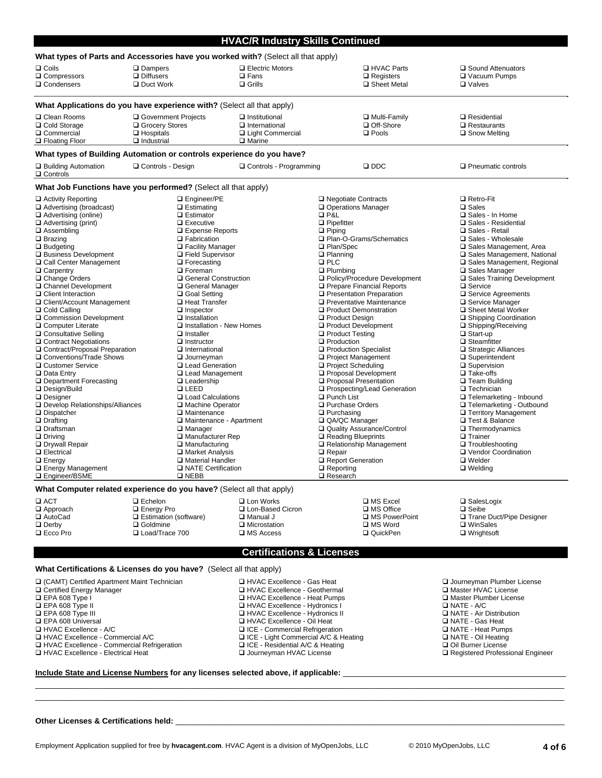|                                                                                                                                                                                                                                                                                                                                                                                                                                                                                                                                                                                                                                                                                                                                                                                                                                                                           |                                                                                                                                                                                                                                                                                                                                                                                                                                                                                                                                                                                                                                                                                                                                                                                                            |                                                                                                                                                                                                                                                                                                                                                       | <b>HVAC/R Industry Skills Continued</b>                                                                                                                                                                                                                                                                                                                                                                                                                                                                                                                                                                                                                                                                                                                                                                                                             |                                                                                                                                                                                                                                                                                                                                                                                                                                                                                                                                                                                                                                                                                                                                                                                                                                     |  |  |  |
|---------------------------------------------------------------------------------------------------------------------------------------------------------------------------------------------------------------------------------------------------------------------------------------------------------------------------------------------------------------------------------------------------------------------------------------------------------------------------------------------------------------------------------------------------------------------------------------------------------------------------------------------------------------------------------------------------------------------------------------------------------------------------------------------------------------------------------------------------------------------------|------------------------------------------------------------------------------------------------------------------------------------------------------------------------------------------------------------------------------------------------------------------------------------------------------------------------------------------------------------------------------------------------------------------------------------------------------------------------------------------------------------------------------------------------------------------------------------------------------------------------------------------------------------------------------------------------------------------------------------------------------------------------------------------------------------|-------------------------------------------------------------------------------------------------------------------------------------------------------------------------------------------------------------------------------------------------------------------------------------------------------------------------------------------------------|-----------------------------------------------------------------------------------------------------------------------------------------------------------------------------------------------------------------------------------------------------------------------------------------------------------------------------------------------------------------------------------------------------------------------------------------------------------------------------------------------------------------------------------------------------------------------------------------------------------------------------------------------------------------------------------------------------------------------------------------------------------------------------------------------------------------------------------------------------|-------------------------------------------------------------------------------------------------------------------------------------------------------------------------------------------------------------------------------------------------------------------------------------------------------------------------------------------------------------------------------------------------------------------------------------------------------------------------------------------------------------------------------------------------------------------------------------------------------------------------------------------------------------------------------------------------------------------------------------------------------------------------------------------------------------------------------------|--|--|--|
|                                                                                                                                                                                                                                                                                                                                                                                                                                                                                                                                                                                                                                                                                                                                                                                                                                                                           | What types of Parts and Accessories have you worked with? (Select all that apply)                                                                                                                                                                                                                                                                                                                                                                                                                                                                                                                                                                                                                                                                                                                          |                                                                                                                                                                                                                                                                                                                                                       |                                                                                                                                                                                                                                                                                                                                                                                                                                                                                                                                                                                                                                                                                                                                                                                                                                                     |                                                                                                                                                                                                                                                                                                                                                                                                                                                                                                                                                                                                                                                                                                                                                                                                                                     |  |  |  |
| □ Coils<br>Q Compressors<br>□ Condensers                                                                                                                                                                                                                                                                                                                                                                                                                                                                                                                                                                                                                                                                                                                                                                                                                                  | □ Dampers<br>$\Box$ Diffusers<br>$\Box$ Duct Work                                                                                                                                                                                                                                                                                                                                                                                                                                                                                                                                                                                                                                                                                                                                                          | $\Box$ Electric Motors<br>$\Box$ Fans<br>$\Box$ Grills                                                                                                                                                                                                                                                                                                | <b>Q HVAC Parts</b><br>$\Box$ Registers<br>□ Sheet Metal                                                                                                                                                                                                                                                                                                                                                                                                                                                                                                                                                                                                                                                                                                                                                                                            | □ Sound Attenuators<br>□ Vacuum Pumps<br>□ Valves                                                                                                                                                                                                                                                                                                                                                                                                                                                                                                                                                                                                                                                                                                                                                                                   |  |  |  |
| What Applications do you have experience with? (Select all that apply)                                                                                                                                                                                                                                                                                                                                                                                                                                                                                                                                                                                                                                                                                                                                                                                                    |                                                                                                                                                                                                                                                                                                                                                                                                                                                                                                                                                                                                                                                                                                                                                                                                            |                                                                                                                                                                                                                                                                                                                                                       |                                                                                                                                                                                                                                                                                                                                                                                                                                                                                                                                                                                                                                                                                                                                                                                                                                                     |                                                                                                                                                                                                                                                                                                                                                                                                                                                                                                                                                                                                                                                                                                                                                                                                                                     |  |  |  |
| □ Clean Rooms<br>□ Cold Storage<br>□ Commercial<br>□ Floating Floor                                                                                                                                                                                                                                                                                                                                                                                                                                                                                                                                                                                                                                                                                                                                                                                                       | Government Projects<br>□ Grocery Stores<br>$\Box$ Hospitals<br>$\Box$ Industrial                                                                                                                                                                                                                                                                                                                                                                                                                                                                                                                                                                                                                                                                                                                           | $\Box$ Institutional<br>□ International<br>□ Light Commercial<br>$\square$ Marine                                                                                                                                                                                                                                                                     | □ Multi-Family<br>□ Off-Shore<br>$\square$ Pools                                                                                                                                                                                                                                                                                                                                                                                                                                                                                                                                                                                                                                                                                                                                                                                                    | $\Box$ Residential<br>$\Box$ Restaurants<br>□ Snow Melting                                                                                                                                                                                                                                                                                                                                                                                                                                                                                                                                                                                                                                                                                                                                                                          |  |  |  |
|                                                                                                                                                                                                                                                                                                                                                                                                                                                                                                                                                                                                                                                                                                                                                                                                                                                                           | What types of Building Automation or controls experience do you have?                                                                                                                                                                                                                                                                                                                                                                                                                                                                                                                                                                                                                                                                                                                                      |                                                                                                                                                                                                                                                                                                                                                       |                                                                                                                                                                                                                                                                                                                                                                                                                                                                                                                                                                                                                                                                                                                                                                                                                                                     |                                                                                                                                                                                                                                                                                                                                                                                                                                                                                                                                                                                                                                                                                                                                                                                                                                     |  |  |  |
| □ Building Automation<br>□ Controls                                                                                                                                                                                                                                                                                                                                                                                                                                                                                                                                                                                                                                                                                                                                                                                                                                       | □ Controls - Design                                                                                                                                                                                                                                                                                                                                                                                                                                                                                                                                                                                                                                                                                                                                                                                        | □ Controls - Programming                                                                                                                                                                                                                                                                                                                              | $\square$ DDC                                                                                                                                                                                                                                                                                                                                                                                                                                                                                                                                                                                                                                                                                                                                                                                                                                       | $\Box$ Pneumatic controls                                                                                                                                                                                                                                                                                                                                                                                                                                                                                                                                                                                                                                                                                                                                                                                                           |  |  |  |
|                                                                                                                                                                                                                                                                                                                                                                                                                                                                                                                                                                                                                                                                                                                                                                                                                                                                           | What Job Functions have you performed? (Select all that apply)                                                                                                                                                                                                                                                                                                                                                                                                                                                                                                                                                                                                                                                                                                                                             |                                                                                                                                                                                                                                                                                                                                                       |                                                                                                                                                                                                                                                                                                                                                                                                                                                                                                                                                                                                                                                                                                                                                                                                                                                     |                                                                                                                                                                                                                                                                                                                                                                                                                                                                                                                                                                                                                                                                                                                                                                                                                                     |  |  |  |
| □ Activity Reporting<br>□ Advertising (broadcast)<br>Advertising (online)<br>$\Box$ Advertising (print)<br><b>□</b> Assembling<br>$\square$ Brazing<br>□ Budgeting<br>Business Development<br>□ Call Center Management<br>□ Carpentry<br>□ Change Orders<br>□ Channel Development<br>□ Client Interaction<br>□ Client/Account Management<br>□ Cold Calling<br>□ Commission Development<br>□ Computer Literate<br>□ Consultative Selling<br>□ Contract Negotiations<br>□ Contract/Proposal Preparation<br>□ Conventions/Trade Shows<br>□ Customer Service<br><b>□</b> Data Entry<br>□ Department Forecasting<br>□ Design/Build<br><b>□</b> Designer<br>□ Develop Relationships/Alliances<br>□ Dispatcher<br>$\Box$ Drafting<br>□ Draftsman<br>$\square$ Driving<br>□ Drywall Repair<br><b>Q</b> Electrical<br>$\Box$ Energy<br><b>Energy Management</b><br>□ Engineer/BSME | □ Engineer/PE<br>$\Box$ Estimating<br>$\square$ Estimator<br>$\square$ Executive<br>□ Expense Reports<br><b>Q</b> Fabrication<br>$\Box$ Facility Manager<br>□ Field Supervisor<br>$\Box$ Forecasting<br>□ Foreman<br>□ General Construction<br>□ General Manager<br>□ Goal Setting<br>□ Heat Transfer<br>$\Box$ Inspector<br>$\Box$ Installation<br>□ Installation - New Homes<br>$\Box$ Installer<br>$\Box$ Instructor<br>□ International<br>$\Box$ Journeyman<br>□ Lead Generation<br>□ Lead Management<br>$\square$ Leadership<br><b>Q LEED</b><br>□ Load Calculations<br>□ Machine Operator<br>□ Maintenance<br>□ Maintenance - Apartment<br><b>□</b> Manager<br>□ Manufacturer Rep<br>$\Box$ Manufacturing<br><b>□ Market Analysis</b><br>□ Material Handler<br>□ NATE Certification<br><b>Q NEBB</b> |                                                                                                                                                                                                                                                                                                                                                       | □ Negotiate Contracts<br>□ Operations Manager<br><b>QP&amp;L</b><br>$\Box$ Pipefitter<br>$\Box$ Piping<br>□ Plan-O-Grams/Schematics<br>□ Plan/Spec<br>$\Box$ Planning<br>$\square$ PLC<br>$\Box$ Plumbing<br>□ Policy/Procedure Development<br>Prepare Financial Reports<br>□ Presentation Preparation<br>□ Preventative Maintenance<br>□ Product Demonstration<br>□ Product Design<br>□ Product Development<br>□ Product Testing<br>$\Box$ Production<br>□ Production Specialist<br>□ Project Management<br>□ Project Scheduling<br>□ Proposal Development<br>□ Proposal Presentation<br>□ Prospecting/Lead Generation<br>□ Punch List<br>□ Purchase Orders<br>$\Box$ Purchasing<br>QA/QC Manager<br>Quality Assurance/Control<br>Reading Blueprints<br>Relationship Management<br>□ Repair<br>Report Generation<br>$\Box$ Reporting<br>□ Research | □ Retro-Fit<br>$\square$ Sales<br>□ Sales - In Home<br>□ Sales - Residential<br>□ Sales - Retail<br>□ Sales - Wholesale<br>□ Sales Management, Area<br>□ Sales Management, National<br>□ Sales Management, Regional<br>□ Sales Manager<br>□ Sales Training Development<br>□ Service<br>□ Service Agreements<br>□ Service Manager<br>□ Sheet Metal Worker<br>□ Shipping Coordination<br>$\Box$ Shipping/Receiving<br>$\Box$ Start-up<br>$\square$ Steamfitter<br>$\Box$ Strategic Alliances<br>□ Superintendent<br>□ Supervision<br>$\square$ Take-offs<br>$\Box$ Team Building<br>$\Box$ Technician<br>□ Telemarketing - Inbound<br>□ Telemarketing - Outbound<br>□ Territory Management<br>□ Test & Balance<br>$\Box$ Thermodynamics<br>□ Trainer<br>□ Troubleshooting<br>□ Vendor Coordination<br>$\Box$ Welder<br>$\Box$ Welding |  |  |  |
| What Computer related experience do you have? (Select all that apply)                                                                                                                                                                                                                                                                                                                                                                                                                                                                                                                                                                                                                                                                                                                                                                                                     |                                                                                                                                                                                                                                                                                                                                                                                                                                                                                                                                                                                                                                                                                                                                                                                                            |                                                                                                                                                                                                                                                                                                                                                       |                                                                                                                                                                                                                                                                                                                                                                                                                                                                                                                                                                                                                                                                                                                                                                                                                                                     |                                                                                                                                                                                                                                                                                                                                                                                                                                                                                                                                                                                                                                                                                                                                                                                                                                     |  |  |  |
| $\square$ ACT<br>□ Approach<br>AutoCad<br>$\Box$ Derby<br>$\square$ Ecco Pro                                                                                                                                                                                                                                                                                                                                                                                                                                                                                                                                                                                                                                                                                                                                                                                              | $\Box$ Echelon<br>□ Energy Pro<br>$\Box$ Estimation (software)<br>□ Goldmine<br>Load/Trace 700                                                                                                                                                                                                                                                                                                                                                                                                                                                                                                                                                                                                                                                                                                             | □ Lon Works<br>□ Lon-Based Cicron<br>$\Box$ Manual J<br>$\Box$ Microstation<br>$\square$ MS Access                                                                                                                                                                                                                                                    | □ MS Excel<br>□ MS Office<br>□ MS PowerPoint<br>□ MS Word<br>□ QuickPen                                                                                                                                                                                                                                                                                                                                                                                                                                                                                                                                                                                                                                                                                                                                                                             | □ SalesLogix<br>$\square$ Seibe<br>□ Trane Duct/Pipe Designer<br>□ WinSales<br>$\Box$ Wrightsoft                                                                                                                                                                                                                                                                                                                                                                                                                                                                                                                                                                                                                                                                                                                                    |  |  |  |
| <b>Certifications &amp; Licenses</b>                                                                                                                                                                                                                                                                                                                                                                                                                                                                                                                                                                                                                                                                                                                                                                                                                                      |                                                                                                                                                                                                                                                                                                                                                                                                                                                                                                                                                                                                                                                                                                                                                                                                            |                                                                                                                                                                                                                                                                                                                                                       |                                                                                                                                                                                                                                                                                                                                                                                                                                                                                                                                                                                                                                                                                                                                                                                                                                                     |                                                                                                                                                                                                                                                                                                                                                                                                                                                                                                                                                                                                                                                                                                                                                                                                                                     |  |  |  |
|                                                                                                                                                                                                                                                                                                                                                                                                                                                                                                                                                                                                                                                                                                                                                                                                                                                                           | What Certifications & Licenses do you have? (Select all that apply)                                                                                                                                                                                                                                                                                                                                                                                                                                                                                                                                                                                                                                                                                                                                        |                                                                                                                                                                                                                                                                                                                                                       |                                                                                                                                                                                                                                                                                                                                                                                                                                                                                                                                                                                                                                                                                                                                                                                                                                                     |                                                                                                                                                                                                                                                                                                                                                                                                                                                                                                                                                                                                                                                                                                                                                                                                                                     |  |  |  |
| □ (CAMT) Certified Apartment Maint Technician<br>□ Certified Energy Manager<br>□ EPA 608 Type I<br>$\Box$ EPA 608 Type II<br>□ EPA 608 Type III<br><b>EPA 608 Universal</b><br>□ HVAC Excellence - A/C<br>□ HVAC Excellence - Commercial A/C<br>□ HVAC Excellence - Commercial Refrigeration<br>□ HVAC Excellence - Electrical Heat                                                                                                                                                                                                                                                                                                                                                                                                                                                                                                                                       |                                                                                                                                                                                                                                                                                                                                                                                                                                                                                                                                                                                                                                                                                                                                                                                                            | □ HVAC Excellence - Gas Heat<br>□ HVAC Excellence - Geothermal<br>□ HVAC Excellence - Heat Pumps<br>□ HVAC Excellence - Hydronics I<br>□ HVAC Excellence - Hydronics II<br>HVAC Excellence - Oil Heat<br>□ ICE - Commercial Refrigeration<br>□ ICE - Light Commercial A/C & Heating<br>□ ICE - Residential A/C & Heating<br>□ Journeyman HVAC License |                                                                                                                                                                                                                                                                                                                                                                                                                                                                                                                                                                                                                                                                                                                                                                                                                                                     | □ Journeyman Plumber License<br>□ Master HVAC License<br>□ Master Plumber License<br>$\Box$ NATE - A/C<br>NATE - Air Distribution<br>□ NATE - Gas Heat<br>□ NATE - Heat Pumps<br>NATE - Oil Heating<br>Oil Burner License<br>□ Registered Professional Engineer                                                                                                                                                                                                                                                                                                                                                                                                                                                                                                                                                                     |  |  |  |

\_\_\_\_\_\_\_\_\_\_\_\_\_\_\_\_\_\_\_\_\_\_\_\_\_\_\_\_\_\_\_\_\_\_\_\_\_\_\_\_\_\_\_\_\_\_\_\_\_\_\_\_\_\_\_\_\_\_\_\_\_\_\_\_\_\_\_\_\_\_\_\_\_\_\_\_\_\_\_\_\_\_\_\_\_\_\_\_\_\_\_\_\_\_\_\_\_\_\_\_\_\_\_\_\_\_\_\_\_\_\_\_\_\_\_\_\_\_\_\_\_ \_\_\_\_\_\_\_\_\_\_\_\_\_\_\_\_\_\_\_\_\_\_\_\_\_\_\_\_\_\_\_\_\_\_\_\_\_\_\_\_\_\_\_\_\_\_\_\_\_\_\_\_\_\_\_\_\_\_\_\_\_\_\_\_\_\_\_\_\_\_\_\_\_\_\_\_\_\_\_\_\_\_\_\_\_\_\_\_\_\_\_\_\_\_\_\_\_\_\_\_\_\_\_\_\_\_\_\_\_\_\_\_\_\_\_\_\_\_\_\_\_

- 
- HVAC Excellence Commercial Refrigeration ICE Residential A/C & Heating Oil Burner License  $\square$  HVAC Excellence - Electrical Heat
- 
- **Include State and License Numbers for any licenses selected above, if applicable:** \_\_\_\_\_\_\_\_\_\_\_\_\_\_\_\_\_\_\_\_\_\_\_\_\_\_\_\_\_\_\_\_\_\_\_\_\_\_\_\_\_\_\_\_\_\_\_\_\_\_\_

Other Licenses & Certifications held: \_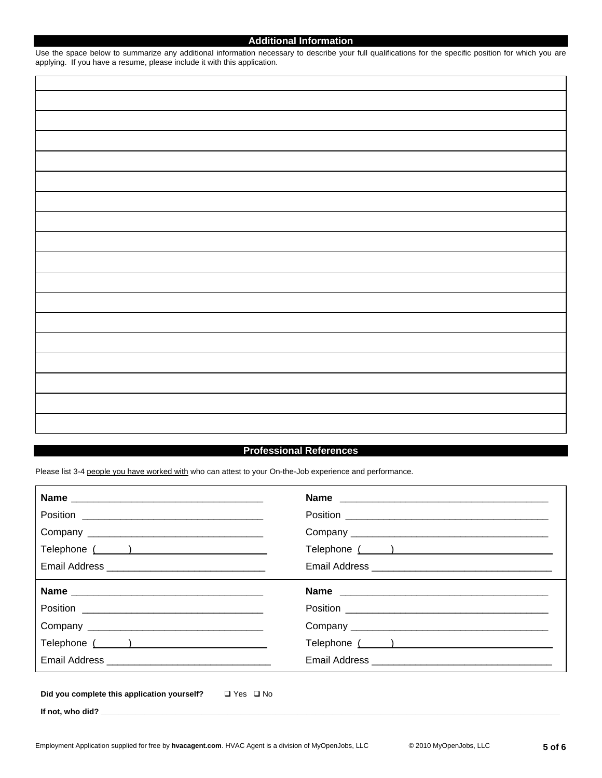## **Additional Information**  Use the space below to summarize any additional information necessary to describe your full qualifications for the specific position for which you are

applying. If you have a resume, please include it with this application.

## **Professional References**

Please list 3-4 people you have worked with who can attest to your On-the-Job experience and performance.

|                                                                  | Name |
|------------------------------------------------------------------|------|
|                                                                  |      |
|                                                                  |      |
|                                                                  |      |
|                                                                  |      |
|                                                                  |      |
| Did you complete this application yourself? $\Box$ Yes $\Box$ No |      |

If not, who did?